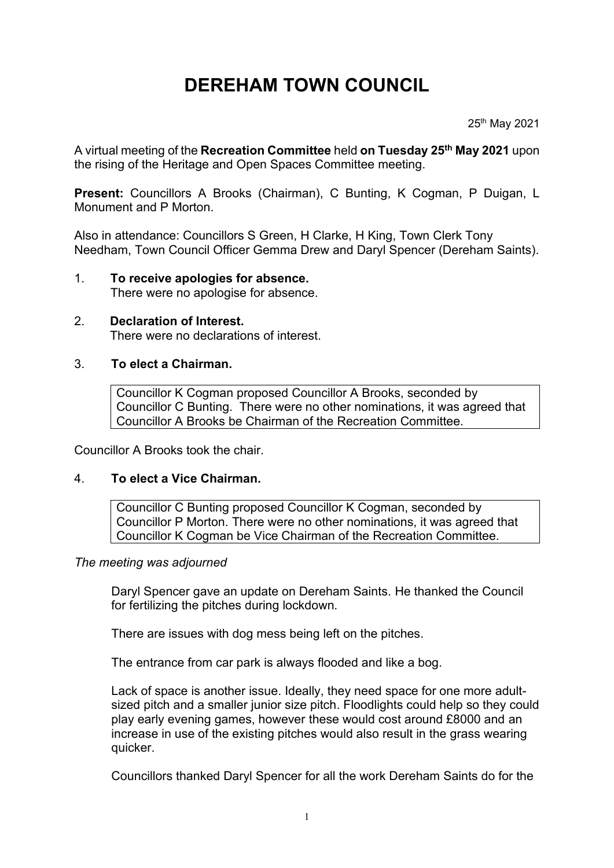# **DEREHAM TOWN COUNCIL**

25th May 2021

A virtual meeting of the **Recreation Committee** held **on Tuesday 25th May 2021** upon the rising of the Heritage and Open Spaces Committee meeting.

**Present:** Councillors A Brooks (Chairman), C Bunting, K Cogman, P Duigan, L Monument and P Morton.

Also in attendance: Councillors S Green, H Clarke, H King, Town Clerk Tony Needham, Town Council Officer Gemma Drew and Daryl Spencer (Dereham Saints).

## 1. **To receive apologies for absence.**

There were no apologise for absence.

#### 2. **Declaration of Interest.** There were no declarations of interest.

#### 3. **To elect a Chairman.**

Councillor K Cogman proposed Councillor A Brooks, seconded by Councillor C Bunting. There were no other nominations, it was agreed that Councillor A Brooks be Chairman of the Recreation Committee.

Councillor A Brooks took the chair.

#### 4. **To elect a Vice Chairman.**

Councillor C Bunting proposed Councillor K Cogman, seconded by Councillor P Morton. There were no other nominations, it was agreed that Councillor K Cogman be Vice Chairman of the Recreation Committee.

#### *The meeting was adjourned*

Daryl Spencer gave an update on Dereham Saints. He thanked the Council for fertilizing the pitches during lockdown.

There are issues with dog mess being left on the pitches.

The entrance from car park is always flooded and like a bog.

Lack of space is another issue. Ideally, they need space for one more adultsized pitch and a smaller junior size pitch. Floodlights could help so they could play early evening games, however these would cost around £8000 and an increase in use of the existing pitches would also result in the grass wearing quicker.

Councillors thanked Daryl Spencer for all the work Dereham Saints do for the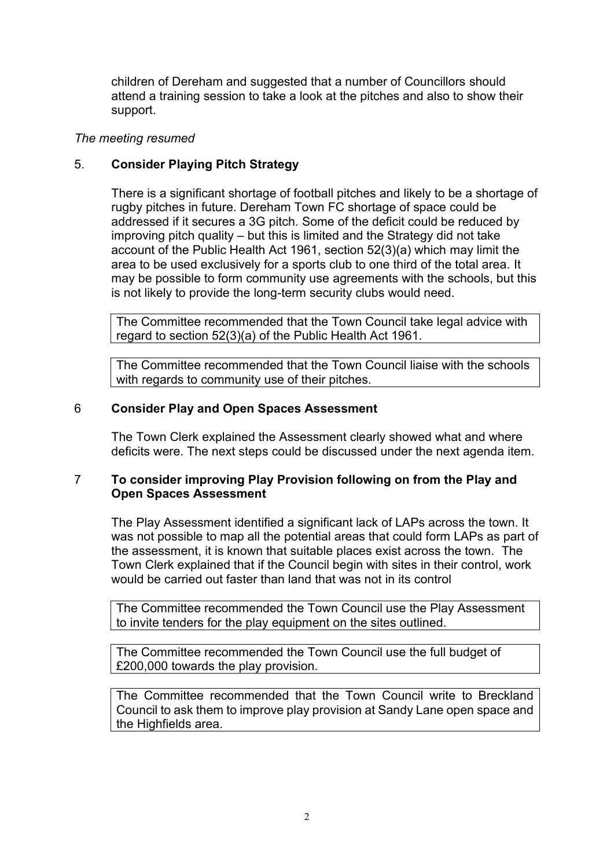children of Dereham and suggested that a number of Councillors should attend a training session to take a look at the pitches and also to show their support.

#### *The meeting resumed*

#### 5. **Consider Playing Pitch Strategy**

There is a significant shortage of football pitches and likely to be a shortage of rugby pitches in future. Dereham Town FC shortage of space could be addressed if it secures a 3G pitch. Some of the deficit could be reduced by improving pitch quality – but this is limited and the Strategy did not take account of the Public Health Act 1961, section 52(3)(a) which may limit the area to be used exclusively for a sports club to one third of the total area. It may be possible to form community use agreements with the schools, but this is not likely to provide the long-term security clubs would need.

The Committee recommended that the Town Council take legal advice with regard to section 52(3)(a) of the Public Health Act 1961.

The Committee recommended that the Town Council liaise with the schools with regards to community use of their pitches.

#### 6 **Consider Play and Open Spaces Assessment**

The Town Clerk explained the Assessment clearly showed what and where deficits were. The next steps could be discussed under the next agenda item.

#### 7 **To consider improving Play Provision following on from the Play and Open Spaces Assessment**

The Play Assessment identified a significant lack of LAPs across the town. It was not possible to map all the potential areas that could form LAPs as part of the assessment, it is known that suitable places exist across the town. The Town Clerk explained that if the Council begin with sites in their control, work would be carried out faster than land that was not in its control

The Committee recommended the Town Council use the Play Assessment to invite tenders for the play equipment on the sites outlined.

The Committee recommended the Town Council use the full budget of £200,000 towards the play provision.

The Committee recommended that the Town Council write to Breckland Council to ask them to improve play provision at Sandy Lane open space and the Highfields area.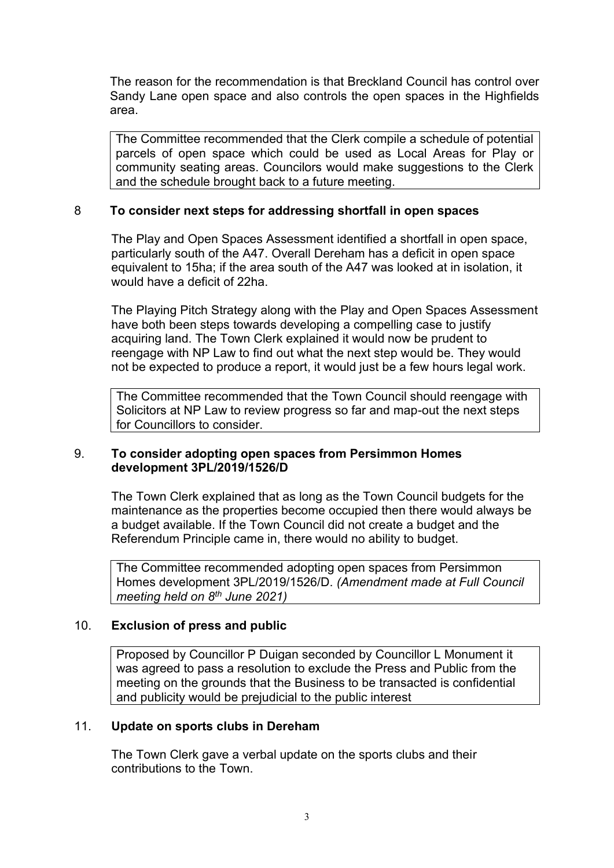The reason for the recommendation is that Breckland Council has control over Sandy Lane open space and also controls the open spaces in the Highfields area.

The Committee recommended that the Clerk compile a schedule of potential parcels of open space which could be used as Local Areas for Play or community seating areas. Councilors would make suggestions to the Clerk and the schedule brought back to a future meeting.

#### 8 **To consider next steps for addressing shortfall in open spaces**

The Play and Open Spaces Assessment identified a shortfall in open space, particularly south of the A47. Overall Dereham has a deficit in open space equivalent to 15ha; if the area south of the A47 was looked at in isolation, it would have a deficit of 22ha.

The Playing Pitch Strategy along with the Play and Open Spaces Assessment have both been steps towards developing a compelling case to justify acquiring land. The Town Clerk explained it would now be prudent to reengage with NP Law to find out what the next step would be. They would not be expected to produce a report, it would just be a few hours legal work.

The Committee recommended that the Town Council should reengage with Solicitors at NP Law to review progress so far and map-out the next steps for Councillors to consider.

#### 9. **To consider adopting open spaces from Persimmon Homes development 3PL/2019/1526/D**

The Town Clerk explained that as long as the Town Council budgets for the maintenance as the properties become occupied then there would always be a budget available. If the Town Council did not create a budget and the Referendum Principle came in, there would no ability to budget.

The Committee recommended adopting open spaces from Persimmon Homes development 3PL/2019/1526/D. *(Amendment made at Full Council meeting held on 8th June 2021)*

#### 10. **Exclusion of press and public**

Proposed by Councillor P Duigan seconded by Councillor L Monument it was agreed to pass a resolution to exclude the Press and Public from the meeting on the grounds that the Business to be transacted is confidential and publicity would be prejudicial to the public interest

#### 11. **Update on sports clubs in Dereham**

The Town Clerk gave a verbal update on the sports clubs and their contributions to the Town.